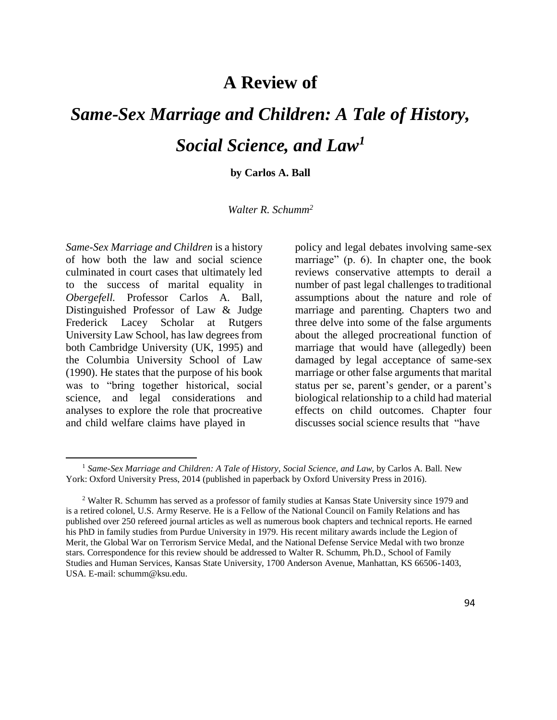## **A Review of**

## *Same-Sex Marriage and Children: A Tale of History, Social Science, and Law<sup>1</sup>*

**by Carlos A. Ball**

## *Walter R. Schumm<sup>2</sup>*

*Same-Sex Marriage and Children* is a history of how both the law and social science culminated in court cases that ultimately led to the success of marital equality in *Obergefell.* Professor Carlos A. Ball, Distinguished Professor of Law & Judge Frederick Lacey Scholar at Rutgers University Law School, has law degrees from both Cambridge University (UK, 1995) and the Columbia University School of Law (1990). He states that the purpose of his book was to "bring together historical, social science, and legal considerations and analyses to explore the role that procreative and child welfare claims have played in

policy and legal debates involving same-sex marriage" (p. 6). In chapter one, the book reviews conservative attempts to derail a number of past legal challenges to traditional assumptions about the nature and role of marriage and parenting. Chapters two and three delve into some of the false arguments about the alleged procreational function of marriage that would have (allegedly) been damaged by legal acceptance of same-sex marriage or other false arguments that marital status per se, parent's gender, or a parent's biological relationship to a child had material effects on child outcomes. Chapter four discusses social science results that "have

<sup>1</sup> *Same-Sex Marriage and Children: A Tale of History, Social Science, and Law*, by Carlos A. Ball. New York: Oxford University Press, 2014 (published in paperback by Oxford University Press in 2016).

<sup>2</sup> Walter R. Schumm has served as a professor of family studies at Kansas State University since 1979 and is a retired colonel, U.S. Army Reserve. He is a Fellow of the National Council on Family Relations and has published over 250 refereed journal articles as well as numerous book chapters and technical reports. He earned his PhD in family studies from Purdue University in 1979. His recent military awards include the Legion of Merit, the Global War on Terrorism Service Medal, and the National Defense Service Medal with two bronze stars. Correspondence for this review should be addressed to Walter R. Schumm, Ph.D., School of Family Studies and Human Services, Kansas State University, 1700 Anderson Avenue, Manhattan, KS 66506-1403, USA. E-mail: [schumm@ksu.edu.](mailto:schumm@ksu.edu)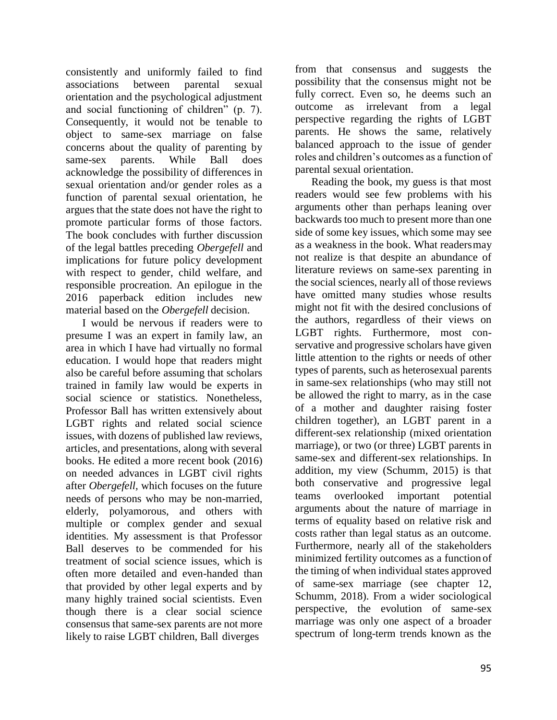consistently and uniformly failed to find associations between parental sexual orientation and the psychological adjustment and social functioning of children" (p. 7). Consequently, it would not be tenable to object to same-sex marriage on false concerns about the quality of parenting by same-sex parents. While Ball does acknowledge the possibility of differences in sexual orientation and/or gender roles as a function of parental sexual orientation, he argues that the state does not have the right to promote particular forms of those factors. The book concludes with further discussion of the legal battles preceding *Obergefell* and implications for future policy development with respect to gender, child welfare, and responsible procreation. An epilogue in the 2016 paperback edition includes new material based on the *Obergefell* decision.

I would be nervous if readers were to presume I was an expert in family law, an area in which I have had virtually no formal education. I would hope that readers might also be careful before assuming that scholars trained in family law would be experts in social science or statistics. Nonetheless, Professor Ball has written extensively about LGBT rights and related social science issues, with dozens of published law reviews, articles, and presentations, along with several books. He edited a more recent book (2016) on needed advances in LGBT civil rights after *Obergefell,* which focuses on the future needs of persons who may be non-married, elderly, polyamorous, and others with multiple or complex gender and sexual identities. My assessment is that Professor Ball deserves to be commended for his treatment of social science issues, which is often more detailed and even-handed than that provided by other legal experts and by many highly trained social scientists. Even though there is a clear social science consensus that same-sex parents are not more likely to raise LGBT children, Ball diverges

from that consensus and suggests the possibility that the consensus might not be fully correct. Even so, he deems such an outcome as irrelevant from a legal perspective regarding the rights of LGBT parents. He shows the same, relatively balanced approach to the issue of gender roles and children's outcomes as a function of parental sexual orientation.

Reading the book, my guess is that most readers would see few problems with his arguments other than perhaps leaning over backwards too much to present more than one side of some key issues, which some may see as a weakness in the book. What readersmay not realize is that despite an abundance of literature reviews on same-sex parenting in the social sciences, nearly all of those reviews have omitted many studies whose results might not fit with the desired conclusions of the authors, regardless of their views on LGBT rights. Furthermore, most conservative and progressive scholars have given little attention to the rights or needs of other types of parents, such as heterosexual parents in same-sex relationships (who may still not be allowed the right to marry, as in the case of a mother and daughter raising foster children together), an LGBT parent in a different-sex relationship (mixed orientation marriage), or two (or three) LGBT parents in same-sex and different-sex relationships. In addition, my view (Schumm, 2015) is that both conservative and progressive legal teams overlooked important potential arguments about the nature of marriage in terms of equality based on relative risk and costs rather than legal status as an outcome. Furthermore, nearly all of the stakeholders minimized fertility outcomes as a function of the timing of when individual states approved of same-sex marriage (see chapter 12, Schumm, 2018). From a wider sociological perspective, the evolution of same-sex marriage was only one aspect of a broader spectrum of long-term trends known as the